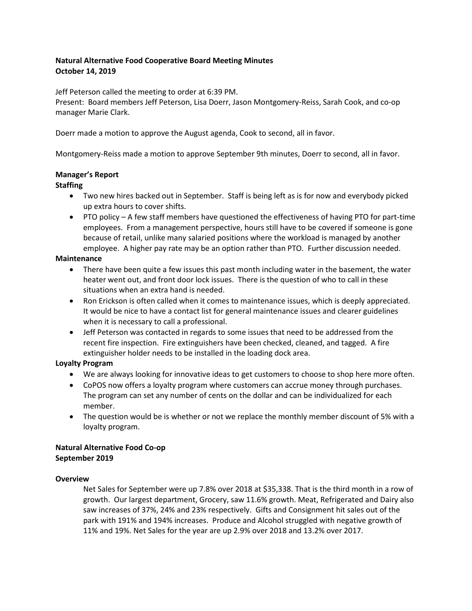# **Natural Alternative Food Cooperative Board Meeting Minutes October 14, 2019**

Jeff Peterson called the meeting to order at 6:39 PM.

Present: Board members Jeff Peterson, Lisa Doerr, Jason Montgomery-Reiss, Sarah Cook, and co-op manager Marie Clark.

Doerr made a motion to approve the August agenda, Cook to second, all in favor.

Montgomery-Reiss made a motion to approve September 9th minutes, Doerr to second, all in favor.

### **Manager's Report**

## **Staffing**

- Two new hires backed out in September. Staff is being left as is for now and everybody picked up extra hours to cover shifts.
- PTO policy A few staff members have questioned the effectiveness of having PTO for part-time employees. From a management perspective, hours still have to be covered if someone is gone because of retail, unlike many salaried positions where the workload is managed by another employee. A higher pay rate may be an option rather than PTO. Further discussion needed.

### **Maintenance**

- There have been quite a few issues this past month including water in the basement, the water heater went out, and front door lock issues. There is the question of who to call in these situations when an extra hand is needed.
- Ron Erickson is often called when it comes to maintenance issues, which is deeply appreciated. It would be nice to have a contact list for general maintenance issues and clearer guidelines when it is necessary to call a professional.
- Jeff Peterson was contacted in regards to some issues that need to be addressed from the recent fire inspection. Fire extinguishers have been checked, cleaned, and tagged. A fire extinguisher holder needs to be installed in the loading dock area.

# **Loyalty Program**

- We are always looking for innovative ideas to get customers to choose to shop here more often.
- CoPOS now offers a loyalty program where customers can accrue money through purchases. The program can set any number of cents on the dollar and can be individualized for each member.
- The question would be is whether or not we replace the monthly member discount of 5% with a loyalty program.

#### **Natural Alternative Food Co-op September 2019**

### **Overview**

Net Sales for September were up 7.8% over 2018 at \$35,338. That is the third month in a row of growth. Our largest department, Grocery, saw 11.6% growth. Meat, Refrigerated and Dairy also saw increases of 37%, 24% and 23% respectively. Gifts and Consignment hit sales out of the park with 191% and 194% increases. Produce and Alcohol struggled with negative growth of 11% and 19%. Net Sales for the year are up 2.9% over 2018 and 13.2% over 2017.